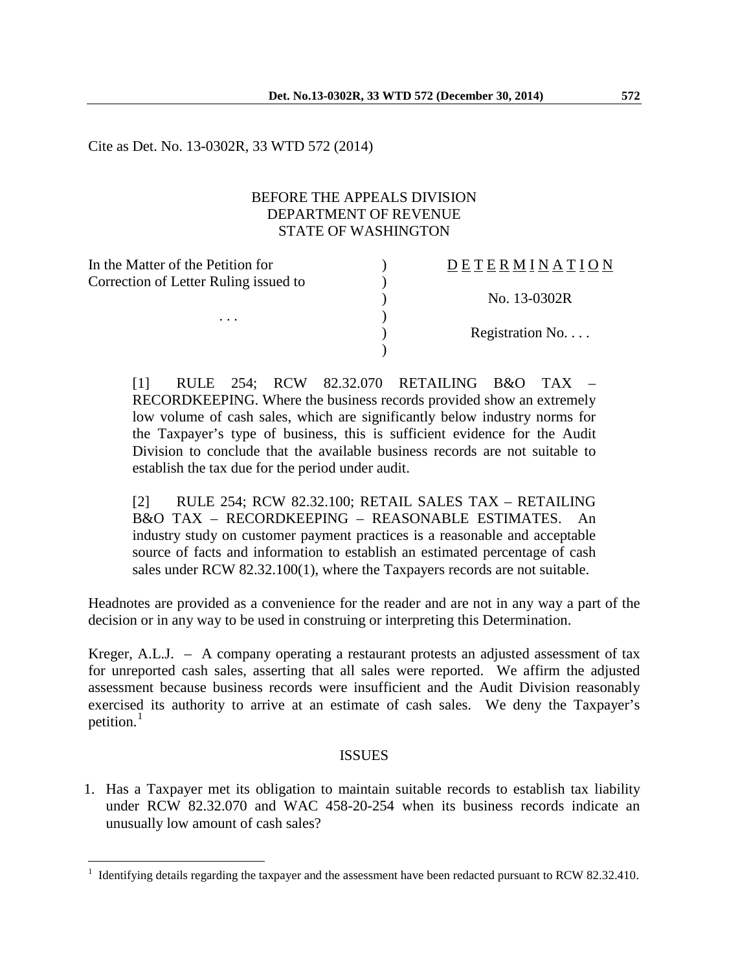Cite as Det. No. 13-0302R, 33 WTD 572 (2014)

## BEFORE THE APPEALS DIVISION DEPARTMENT OF REVENUE STATE OF WASHINGTON

| In the Matter of the Petition for          | <b>DETERMINATION</b> |
|--------------------------------------------|----------------------|
| Correction of Letter Ruling issued to<br>. |                      |
|                                            | No. 13-0302R         |
|                                            |                      |
|                                            | Registration No      |
|                                            |                      |

[1] RULE 254; RCW 82.32.070 RETAILING B&O TAX – RECORDKEEPING. Where the business records provided show an extremely low volume of cash sales, which are significantly below industry norms for the Taxpayer's type of business, this is sufficient evidence for the Audit Division to conclude that the available business records are not suitable to establish the tax due for the period under audit.

[2] RULE 254; RCW 82.32.100; RETAIL SALES TAX – RETAILING B&O TAX – RECORDKEEPING – REASONABLE ESTIMATES. An industry study on customer payment practices is a reasonable and acceptable source of facts and information to establish an estimated percentage of cash sales under RCW 82.32.100(1), where the Taxpayers records are not suitable.

Headnotes are provided as a convenience for the reader and are not in any way a part of the decision or in any way to be used in construing or interpreting this Determination.

Kreger, A.L.J. – A company operating a restaurant protests an adjusted assessment of tax for unreported cash sales, asserting that all sales were reported. We affirm the adjusted assessment because business records were insufficient and the Audit Division reasonably exercised its authority to arrive at an estimate of cash sales. We deny the Taxpayer's petition.<sup>[1](#page-0-0)</sup>

# ISSUES

1. Has a Taxpayer met its obligation to maintain suitable records to establish tax liability under RCW 82.32.070 and WAC 458-20-254 when its business records indicate an unusually low amount of cash sales?

<span id="page-0-0"></span><sup>1</sup> Identifying details regarding the taxpayer and the assessment have been redacted pursuant to RCW 82.32.410.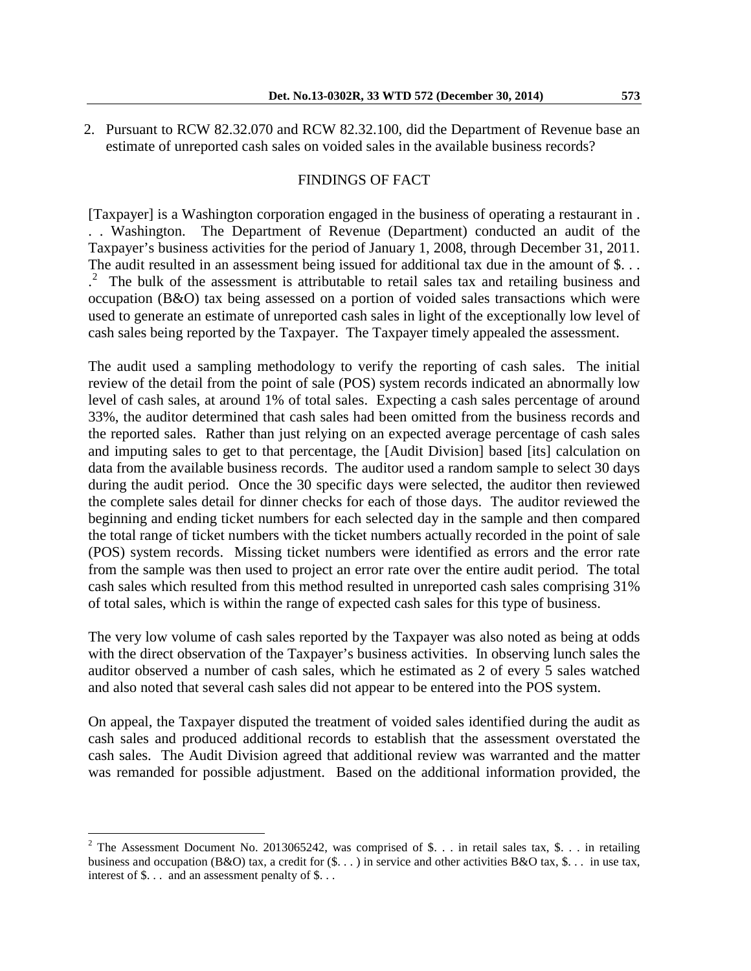2. Pursuant to RCW 82.32.070 and RCW 82.32.100, did the Department of Revenue base an estimate of unreported cash sales on voided sales in the available business records?

#### FINDINGS OF FACT

[Taxpayer] is a Washington corporation engaged in the business of operating a restaurant in . . . Washington. The Department of Revenue (Department) conducted an audit of the Taxpayer's business activities for the period of January 1, 2008, through December 31, 2011. The audit resulted in an assessment being issued for additional tax due in the amount of \$... . [2](#page-1-0) The bulk of the assessment is attributable to retail sales tax and retailing business and occupation (B&O) tax being assessed on a portion of voided sales transactions which were used to generate an estimate of unreported cash sales in light of the exceptionally low level of cash sales being reported by the Taxpayer. The Taxpayer timely appealed the assessment.

The audit used a sampling methodology to verify the reporting of cash sales. The initial review of the detail from the point of sale (POS) system records indicated an abnormally low level of cash sales, at around 1% of total sales. Expecting a cash sales percentage of around 33%, the auditor determined that cash sales had been omitted from the business records and the reported sales. Rather than just relying on an expected average percentage of cash sales and imputing sales to get to that percentage, the [Audit Division] based [its] calculation on data from the available business records. The auditor used a random sample to select 30 days during the audit period. Once the 30 specific days were selected, the auditor then reviewed the complete sales detail for dinner checks for each of those days. The auditor reviewed the beginning and ending ticket numbers for each selected day in the sample and then compared the total range of ticket numbers with the ticket numbers actually recorded in the point of sale (POS) system records. Missing ticket numbers were identified as errors and the error rate from the sample was then used to project an error rate over the entire audit period. The total cash sales which resulted from this method resulted in unreported cash sales comprising 31% of total sales, which is within the range of expected cash sales for this type of business.

The very low volume of cash sales reported by the Taxpayer was also noted as being at odds with the direct observation of the Taxpayer's business activities. In observing lunch sales the auditor observed a number of cash sales, which he estimated as 2 of every 5 sales watched and also noted that several cash sales did not appear to be entered into the POS system.

On appeal, the Taxpayer disputed the treatment of voided sales identified during the audit as cash sales and produced additional records to establish that the assessment overstated the cash sales. The Audit Division agreed that additional review was warranted and the matter was remanded for possible adjustment. Based on the additional information provided, the

<span id="page-1-0"></span><sup>&</sup>lt;sup>2</sup> The Assessment Document No. 2013065242, was comprised of \$. . . in retail sales tax, \$. . . in retailing business and occupation (B&O) tax, a credit for  $(\$\ldots\)$  in service and other activities B&O tax,  $\$\ldots\]$  in use tax, interest of \$. . . and an assessment penalty of \$. . .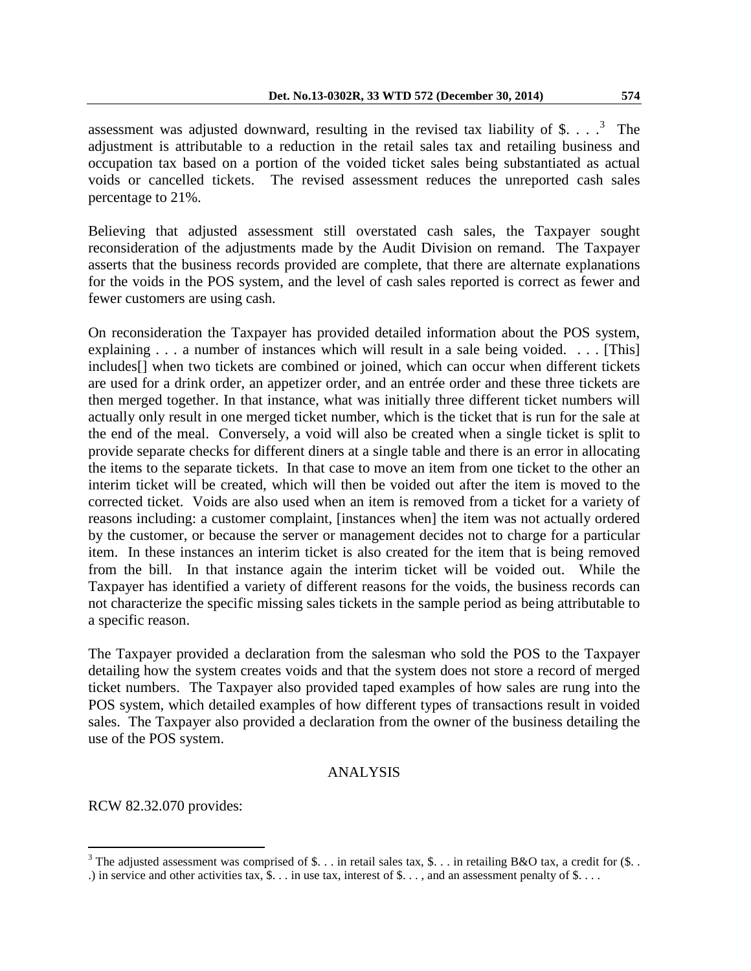assessment was adjusted downward, resulting in the revised tax liability of \$. . .  $\cdot$   $\cdot$  The adjustment is attributable to a reduction in the retail sales tax and retailing business and occupation tax based on a portion of the voided ticket sales being substantiated as actual voids or cancelled tickets. The revised assessment reduces the unreported cash sales percentage to 21%.

Believing that adjusted assessment still overstated cash sales, the Taxpayer sought reconsideration of the adjustments made by the Audit Division on remand. The Taxpayer asserts that the business records provided are complete, that there are alternate explanations for the voids in the POS system, and the level of cash sales reported is correct as fewer and fewer customers are using cash.

On reconsideration the Taxpayer has provided detailed information about the POS system, explaining . . . a number of instances which will result in a sale being voided. . . . [This] includes[] when two tickets are combined or joined, which can occur when different tickets are used for a drink order, an appetizer order, and an entrée order and these three tickets are then merged together. In that instance, what was initially three different ticket numbers will actually only result in one merged ticket number, which is the ticket that is run for the sale at the end of the meal. Conversely, a void will also be created when a single ticket is split to provide separate checks for different diners at a single table and there is an error in allocating the items to the separate tickets. In that case to move an item from one ticket to the other an interim ticket will be created, which will then be voided out after the item is moved to the corrected ticket. Voids are also used when an item is removed from a ticket for a variety of reasons including: a customer complaint, [instances when] the item was not actually ordered by the customer, or because the server or management decides not to charge for a particular item. In these instances an interim ticket is also created for the item that is being removed from the bill. In that instance again the interim ticket will be voided out. While the Taxpayer has identified a variety of different reasons for the voids, the business records can not characterize the specific missing sales tickets in the sample period as being attributable to a specific reason.

The Taxpayer provided a declaration from the salesman who sold the POS to the Taxpayer detailing how the system creates voids and that the system does not store a record of merged ticket numbers. The Taxpayer also provided taped examples of how sales are rung into the POS system, which detailed examples of how different types of transactions result in voided sales. The Taxpayer also provided a declaration from the owner of the business detailing the use of the POS system.

# ANALYSIS

RCW 82.32.070 provides:

<span id="page-2-0"></span><sup>&</sup>lt;sup>3</sup> The adjusted assessment was comprised of \$. . . in retail sales tax, \$. . . in retailing B&O tax, a credit for (\$. .

<sup>.)</sup> in service and other activities tax,  $\mathcal{S}$ . . . in use tax, interest of  $\mathcal{S}$ . . . , and an assessment penalty of  $\mathcal{S}$ . . .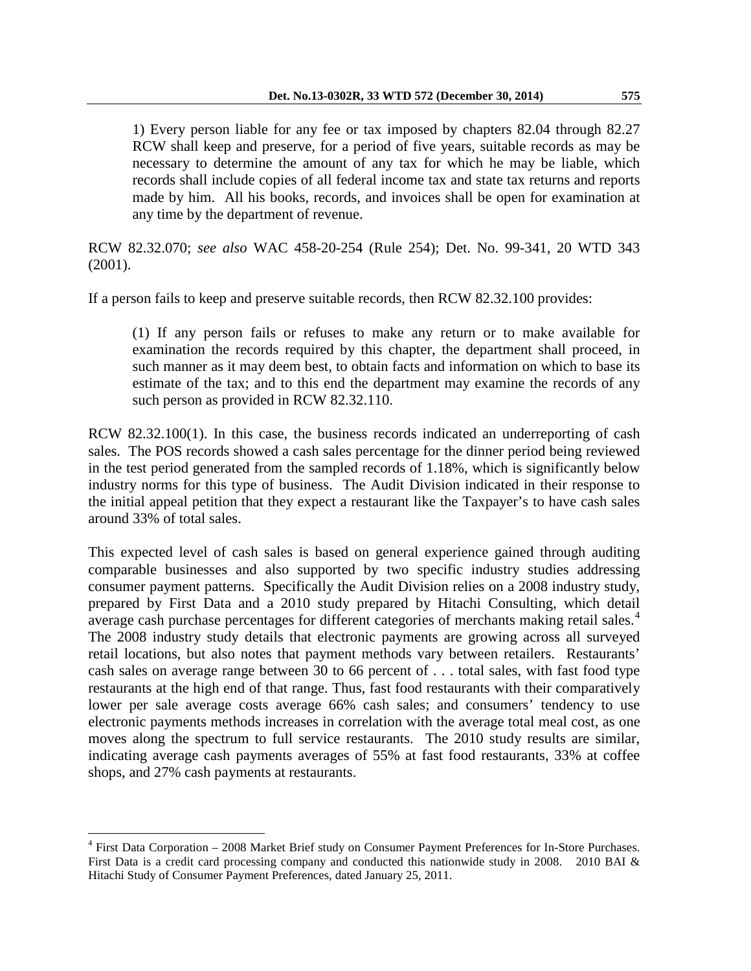1) Every person liable for any fee or tax imposed by chapters 82.04 through 82.27 RCW shall keep and preserve, for a period of five years, suitable records as may be necessary to determine the amount of any tax for which he may be liable, which records shall include copies of all federal income tax and state tax returns and reports made by him. All his books, records, and invoices shall be open for examination at any time by the department of revenue.

RCW 82.32.070; *see also* WAC 458-20-254 (Rule 254); Det. No. 99-341, 20 WTD 343 (2001).

If a person fails to keep and preserve suitable records, then RCW 82.32.100 provides:

(1) If any person fails or refuses to make any return or to make available for examination the records required by this chapter, the department shall proceed, in such manner as it may deem best, to obtain facts and information on which to base its estimate of the tax; and to this end the department may examine the records of any such person as provided in RCW 82.32.110.

RCW 82.32.100(1). In this case, the business records indicated an underreporting of cash sales. The POS records showed a cash sales percentage for the dinner period being reviewed in the test period generated from the sampled records of 1.18%, which is significantly below industry norms for this type of business. The Audit Division indicated in their response to the initial appeal petition that they expect a restaurant like the Taxpayer's to have cash sales around 33% of total sales.

This expected level of cash sales is based on general experience gained through auditing comparable businesses and also supported by two specific industry studies addressing consumer payment patterns. Specifically the Audit Division relies on a 2008 industry study, prepared by First Data and a 2010 study prepared by Hitachi Consulting, which detail average cash purchase percentages for different categories of merchants making retail sales.<sup>[4](#page-3-0)</sup> The 2008 industry study details that electronic payments are growing across all surveyed retail locations, but also notes that payment methods vary between retailers. Restaurants' cash sales on average range between 30 to 66 percent of . . . total sales, with fast food type restaurants at the high end of that range. Thus, fast food restaurants with their comparatively lower per sale average costs average 66% cash sales; and consumers' tendency to use electronic payments methods increases in correlation with the average total meal cost, as one moves along the spectrum to full service restaurants. The 2010 study results are similar, indicating average cash payments averages of 55% at fast food restaurants, 33% at coffee shops, and 27% cash payments at restaurants.

<span id="page-3-0"></span><sup>4</sup> First Data Corporation – 2008 Market Brief study on Consumer Payment Preferences for In-Store Purchases. First Data is a credit card processing company and conducted this nationwide study in 2008. 2010 BAI & Hitachi Study of Consumer Payment Preferences, dated January 25, 2011.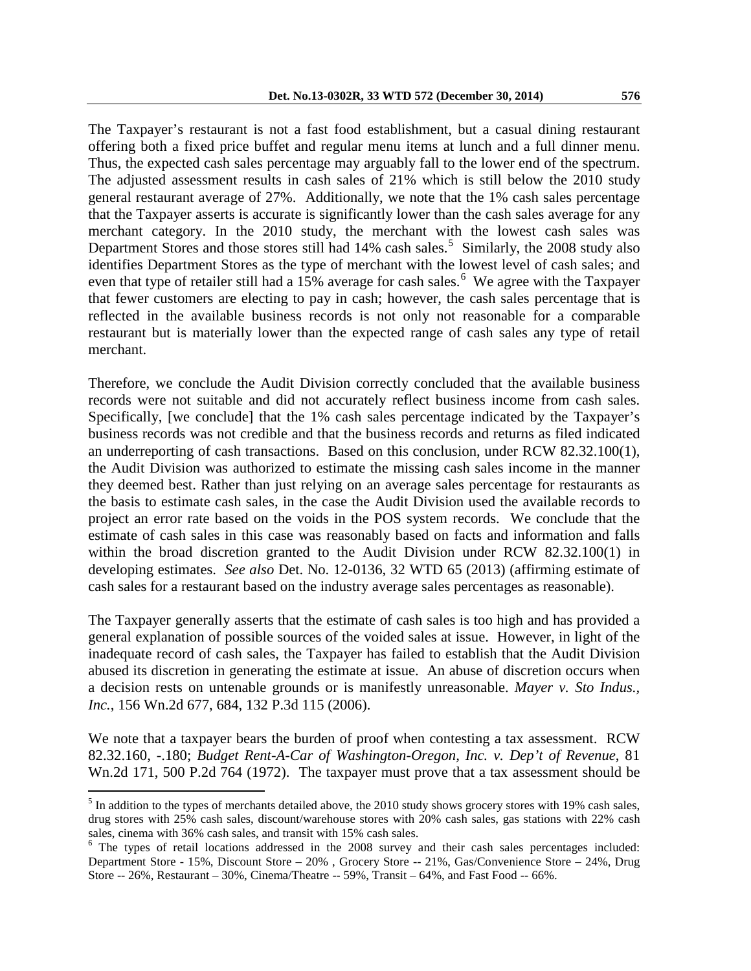The Taxpayer's restaurant is not a fast food establishment, but a casual dining restaurant offering both a fixed price buffet and regular menu items at lunch and a full dinner menu. Thus, the expected cash sales percentage may arguably fall to the lower end of the spectrum. The adjusted assessment results in cash sales of 21% which is still below the 2010 study general restaurant average of 27%. Additionally, we note that the 1% cash sales percentage that the Taxpayer asserts is accurate is significantly lower than the cash sales average for any merchant category. In the 2010 study, the merchant with the lowest cash sales was Department Stores and those stores still had  $14\%$  cash sales.<sup>[5](#page-4-0)</sup> Similarly, the 2008 study also identifies Department Stores as the type of merchant with the lowest level of cash sales; and even that type of retailer still had a  $15\%$  average for cash sales.<sup>[6](#page-4-1)</sup> We agree with the Taxpayer that fewer customers are electing to pay in cash; however, the cash sales percentage that is reflected in the available business records is not only not reasonable for a comparable restaurant but is materially lower than the expected range of cash sales any type of retail merchant.

Therefore, we conclude the Audit Division correctly concluded that the available business records were not suitable and did not accurately reflect business income from cash sales. Specifically, [we conclude] that the 1% cash sales percentage indicated by the Taxpayer's business records was not credible and that the business records and returns as filed indicated an underreporting of cash transactions. Based on this conclusion, under RCW 82.32.100(1), the Audit Division was authorized to estimate the missing cash sales income in the manner they deemed best. Rather than just relying on an average sales percentage for restaurants as the basis to estimate cash sales, in the case the Audit Division used the available records to project an error rate based on the voids in the POS system records. We conclude that the estimate of cash sales in this case was reasonably based on facts and information and falls within the broad discretion granted to the Audit Division under RCW 82.32.100(1) in developing estimates. *See also* Det. No. 12-0136, 32 WTD 65 (2013) (affirming estimate of cash sales for a restaurant based on the industry average sales percentages as reasonable).

The Taxpayer generally asserts that the estimate of cash sales is too high and has provided a general explanation of possible sources of the voided sales at issue. However, in light of the inadequate record of cash sales, the Taxpayer has failed to establish that the Audit Division abused its discretion in generating the estimate at issue. An abuse of discretion occurs when a decision rests on untenable grounds or is manifestly unreasonable. *Mayer v. Sto Indus., Inc.*, 156 Wn.2d 677, 684, 132 P.3d 115 (2006).

We note that a taxpayer bears the burden of proof when contesting a tax assessment. RCW 82.32.160, -.180; *Budget Rent-A-Car of Washington-Oregon, Inc. v. Dep't of Revenue*, 81 Wn.2d 171, 500 P.2d 764 (1972). The taxpayer must prove that a tax assessment should be

<span id="page-4-0"></span> $<sup>5</sup>$  In addition to the types of merchants detailed above, the 2010 study shows grocery stores with 19% cash sales,</sup> drug stores with 25% cash sales, discount/warehouse stores with 20% cash sales, gas stations with 22% cash sales, cinema with 36% cash sales, and transit with 15% cash sales.

<span id="page-4-1"></span><sup>&</sup>lt;sup>6</sup> The types of retail locations addressed in the 2008 survey and their cash sales percentages included: Department Store - 15%, Discount Store – 20% , Grocery Store -- 21%, Gas/Convenience Store – 24%, Drug Store -- 26%, Restaurant – 30%, Cinema/Theatre -- 59%, Transit – 64%, and Fast Food -- 66%.